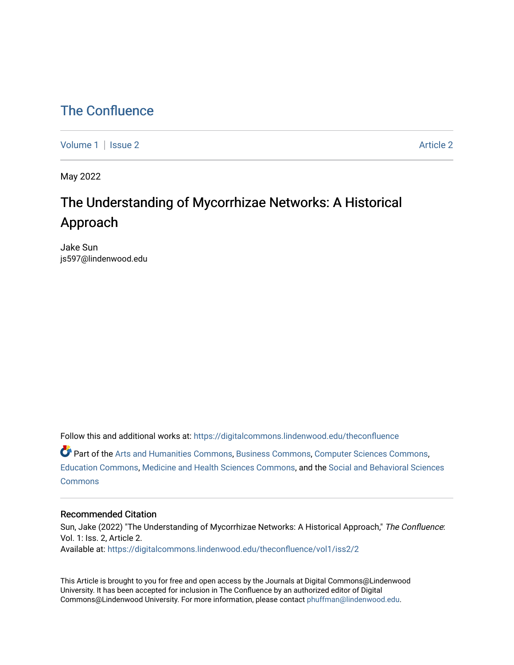## [The Confluence](https://digitalcommons.lindenwood.edu/theconfluence)

[Volume 1](https://digitalcommons.lindenwood.edu/theconfluence/vol1) | [Issue 2](https://digitalcommons.lindenwood.edu/theconfluence/vol1/iss2) Article 2

May 2022

# The Understanding of Mycorrhizae Networks: A Historical Approach

Jake Sun js597@lindenwood.edu

Follow this and additional works at: [https://digitalcommons.lindenwood.edu/theconfluence](https://digitalcommons.lindenwood.edu/theconfluence?utm_source=digitalcommons.lindenwood.edu%2Ftheconfluence%2Fvol1%2Fiss2%2F2&utm_medium=PDF&utm_campaign=PDFCoverPages) 

Part of the [Arts and Humanities Commons,](http://network.bepress.com/hgg/discipline/438?utm_source=digitalcommons.lindenwood.edu%2Ftheconfluence%2Fvol1%2Fiss2%2F2&utm_medium=PDF&utm_campaign=PDFCoverPages) [Business Commons](http://network.bepress.com/hgg/discipline/622?utm_source=digitalcommons.lindenwood.edu%2Ftheconfluence%2Fvol1%2Fiss2%2F2&utm_medium=PDF&utm_campaign=PDFCoverPages), [Computer Sciences Commons](http://network.bepress.com/hgg/discipline/142?utm_source=digitalcommons.lindenwood.edu%2Ftheconfluence%2Fvol1%2Fiss2%2F2&utm_medium=PDF&utm_campaign=PDFCoverPages), [Education Commons,](http://network.bepress.com/hgg/discipline/784?utm_source=digitalcommons.lindenwood.edu%2Ftheconfluence%2Fvol1%2Fiss2%2F2&utm_medium=PDF&utm_campaign=PDFCoverPages) [Medicine and Health Sciences Commons,](http://network.bepress.com/hgg/discipline/648?utm_source=digitalcommons.lindenwood.edu%2Ftheconfluence%2Fvol1%2Fiss2%2F2&utm_medium=PDF&utm_campaign=PDFCoverPages) and the [Social and Behavioral Sciences](http://network.bepress.com/hgg/discipline/316?utm_source=digitalcommons.lindenwood.edu%2Ftheconfluence%2Fvol1%2Fiss2%2F2&utm_medium=PDF&utm_campaign=PDFCoverPages) **[Commons](http://network.bepress.com/hgg/discipline/316?utm_source=digitalcommons.lindenwood.edu%2Ftheconfluence%2Fvol1%2Fiss2%2F2&utm_medium=PDF&utm_campaign=PDFCoverPages)** 

## Recommended Citation

Sun, Jake (2022) "The Understanding of Mycorrhizae Networks: A Historical Approach," The Confluence: Vol. 1: Iss. 2, Article 2. Available at: [https://digitalcommons.lindenwood.edu/theconfluence/vol1/iss2/2](https://digitalcommons.lindenwood.edu/theconfluence/vol1/iss2/2?utm_source=digitalcommons.lindenwood.edu%2Ftheconfluence%2Fvol1%2Fiss2%2F2&utm_medium=PDF&utm_campaign=PDFCoverPages) 

This Article is brought to you for free and open access by the Journals at Digital Commons@Lindenwood University. It has been accepted for inclusion in The Confluence by an authorized editor of Digital Commons@Lindenwood University. For more information, please contact [phuffman@lindenwood.edu](mailto:phuffman@lindenwood.edu).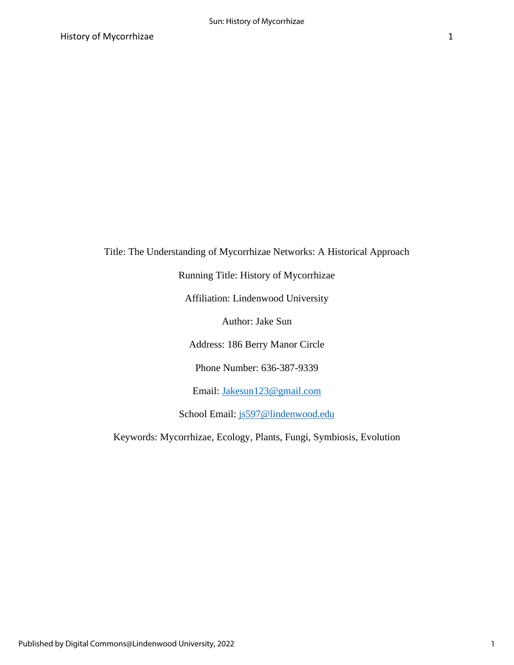Title: The Understanding of Mycorrhizae Networks: A Historical Approach

Running Title: History of Mycorrhizae

Affiliation: Lindenwood University

Author: Jake Sun

Address: 186 Berry Manor Circle

Phone Number: 636-387-9339

Email: [Jakesun123@gmail.com](mailto:Jakesun123@gmail.com)

School Email: [js597@lindenwood.edu](mailto:js597@lindenwood.edu)

Keywords: Mycorrhizae, Ecology, Plants, Fungi, Symbiosis, Evolution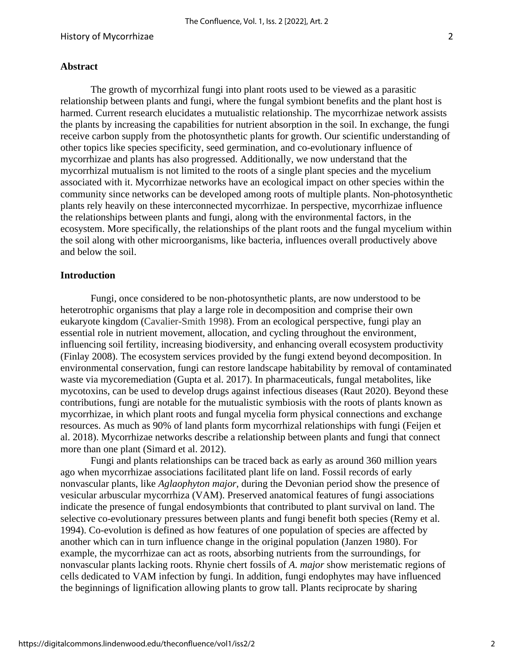## **Abstract**

The growth of mycorrhizal fungi into plant roots used to be viewed as a parasitic relationship between plants and fungi, where the fungal symbiont benefits and the plant host is harmed. Current research elucidates a mutualistic relationship. The mycorrhizae network assists the plants by increasing the capabilities for nutrient absorption in the soil. In exchange, the fungi receive carbon supply from the photosynthetic plants for growth. Our scientific understanding of other topics like species specificity, seed germination, and co-evolutionary influence of mycorrhizae and plants has also progressed. Additionally, we now understand that the mycorrhizal mutualism is not limited to the roots of a single plant species and the mycelium associated with it. Mycorrhizae networks have an ecological impact on other species within the community since networks can be developed among roots of multiple plants. Non-photosynthetic plants rely heavily on these interconnected mycorrhizae. In perspective, mycorrhizae influence the relationships between plants and fungi, along with the environmental factors, in the ecosystem. More specifically, the relationships of the plant roots and the fungal mycelium within the soil along with other microorganisms, like bacteria, influences overall productively above and below the soil.

#### **Introduction**

Fungi, once considered to be non-photosynthetic plants, are now understood to be heterotrophic organisms that play a large role in decomposition and comprise their own eukaryote kingdom (Cavalier-Smith 1998). From an ecological perspective, fungi play an essential role in nutrient movement, allocation, and cycling throughout the environment, influencing soil fertility, increasing biodiversity, and enhancing overall ecosystem productivity (Finlay 2008). The ecosystem services provided by the fungi extend beyond decomposition. In environmental conservation, fungi can restore landscape habitability by removal of contaminated waste via mycoremediation (Gupta et al. 2017). In pharmaceuticals, fungal metabolites, like mycotoxins, can be used to develop drugs against infectious diseases (Raut 2020). Beyond these contributions, fungi are notable for the mutualistic symbiosis with the roots of plants known as mycorrhizae, in which plant roots and fungal mycelia form physical connections and exchange resources. As much as 90% of land plants form mycorrhizal relationships with fungi (Feijen et al. 2018). Mycorrhizae networks describe a relationship between plants and fungi that connect more than one plant (Simard et al. 2012).

Fungi and plants relationships can be traced back as early as around 360 million years ago when mycorrhizae associations facilitated plant life on land. Fossil records of early nonvascular plants, like *Aglaophyton major,* during the Devonian period show the presence of vesicular arbuscular mycorrhiza (VAM). Preserved anatomical features of fungi associations indicate the presence of fungal endosymbionts that contributed to plant survival on land. The selective co-evolutionary pressures between plants and fungi benefit both species (Remy et al. 1994). Co-evolution is defined as how features of one population of species are affected by another which can in turn influence change in the original population (Janzen 1980). For example, the mycorrhizae can act as roots, absorbing nutrients from the surroundings, for nonvascular plants lacking roots. Rhynie chert fossils of *A. major* show meristematic regions of cells dedicated to VAM infection by fungi. In addition, fungi endophytes may have influenced the beginnings of lignification allowing plants to grow tall. Plants reciprocate by sharing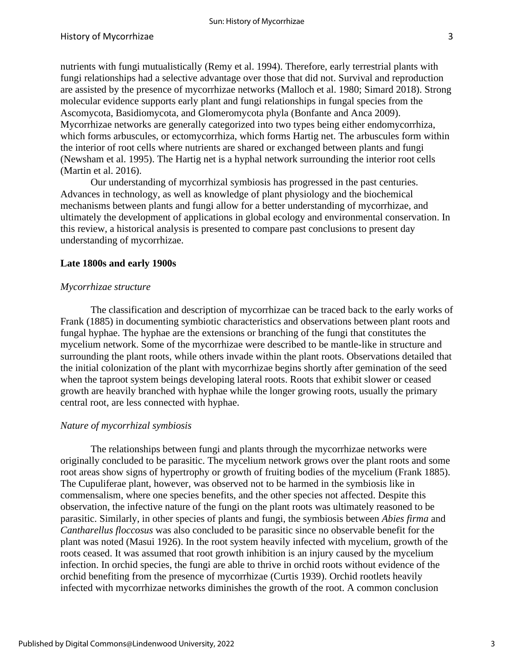nutrients with fungi mutualistically (Remy et al. 1994). Therefore, early terrestrial plants with fungi relationships had a selective advantage over those that did not. Survival and reproduction are assisted by the presence of mycorrhizae networks (Malloch et al. 1980; Simard 2018). Strong molecular evidence supports early plant and fungi relationships in fungal species from the Ascomycota, Basidiomycota, and Glomeromycota phyla (Bonfante and Anca 2009). Mycorrhizae networks are generally categorized into two types being either endomycorrhiza, which forms arbuscules, or ectomycorrhiza, which forms Hartig net. The arbuscules form within the interior of root cells where nutrients are shared or exchanged between plants and fungi (Newsham et al. 1995). The Hartig net is a hyphal network surrounding the interior root cells (Martin et al. 2016).

Our understanding of mycorrhizal symbiosis has progressed in the past centuries. Advances in technology, as well as knowledge of plant physiology and the biochemical mechanisms between plants and fungi allow for a better understanding of mycorrhizae, and ultimately the development of applications in global ecology and environmental conservation. In this review, a historical analysis is presented to compare past conclusions to present day understanding of mycorrhizae.

## **Late 1800s and early 1900s**

### *Mycorrhizae structure*

The classification and description of mycorrhizae can be traced back to the early works of Frank (1885) in documenting symbiotic characteristics and observations between plant roots and fungal hyphae. The hyphae are the extensions or branching of the fungi that constitutes the mycelium network. Some of the mycorrhizae were described to be mantle-like in structure and surrounding the plant roots, while others invade within the plant roots. Observations detailed that the initial colonization of the plant with mycorrhizae begins shortly after gemination of the seed when the taproot system beings developing lateral roots. Roots that exhibit slower or ceased growth are heavily branched with hyphae while the longer growing roots, usually the primary central root, are less connected with hyphae.

## *Nature of mycorrhizal symbiosis*

The relationships between fungi and plants through the mycorrhizae networks were originally concluded to be parasitic. The mycelium network grows over the plant roots and some root areas show signs of hypertrophy or growth of fruiting bodies of the mycelium (Frank 1885). The Cupuliferae plant, however, was observed not to be harmed in the symbiosis like in commensalism, where one species benefits, and the other species not affected. Despite this observation, the infective nature of the fungi on the plant roots was ultimately reasoned to be parasitic. Similarly, in other species of plants and fungi, the symbiosis between *Abies firma* and *Cantharellus floccosus* was also concluded to be parasitic since no observable benefit for the plant was noted (Masui 1926). In the root system heavily infected with mycelium, growth of the roots ceased. It was assumed that root growth inhibition is an injury caused by the mycelium infection. In orchid species, the fungi are able to thrive in orchid roots without evidence of the orchid benefiting from the presence of mycorrhizae (Curtis 1939). Orchid rootlets heavily infected with mycorrhizae networks diminishes the growth of the root. A common conclusion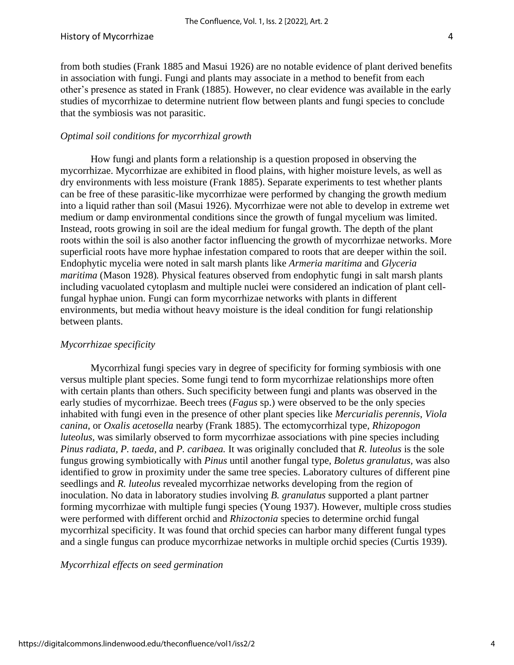from both studies (Frank 1885 and Masui 1926) are no notable evidence of plant derived benefits in association with fungi. Fungi and plants may associate in a method to benefit from each other's presence as stated in Frank (1885). However, no clear evidence was available in the early studies of mycorrhizae to determine nutrient flow between plants and fungi species to conclude that the symbiosis was not parasitic.

## *Optimal soil conditions for mycorrhizal growth*

How fungi and plants form a relationship is a question proposed in observing the mycorrhizae. Mycorrhizae are exhibited in flood plains, with higher moisture levels, as well as dry environments with less moisture (Frank 1885). Separate experiments to test whether plants can be free of these parasitic-like mycorrhizae were performed by changing the growth medium into a liquid rather than soil (Masui 1926). Mycorrhizae were not able to develop in extreme wet medium or damp environmental conditions since the growth of fungal mycelium was limited. Instead, roots growing in soil are the ideal medium for fungal growth. The depth of the plant roots within the soil is also another factor influencing the growth of mycorrhizae networks. More superficial roots have more hyphae infestation compared to roots that are deeper within the soil. Endophytic mycelia were noted in salt marsh plants like *Armeria maritima* and *Glyceria maritima* (Mason 1928)*.* Physical features observed from endophytic fungi in salt marsh plants including vacuolated cytoplasm and multiple nuclei were considered an indication of plant cellfungal hyphae union. Fungi can form mycorrhizae networks with plants in different environments, but media without heavy moisture is the ideal condition for fungi relationship between plants.

## *Mycorrhizae specificity*

Mycorrhizal fungi species vary in degree of specificity for forming symbiosis with one versus multiple plant species. Some fungi tend to form mycorrhizae relationships more often with certain plants than others. Such specificity between fungi and plants was observed in the early studies of mycorrhizae. Beech trees (*Fagus* sp.) were observed to be the only species inhabited with fungi even in the presence of other plant species like *Mercurialis perennis*, *Viola canina*, or *Oxalis acetosella* nearby (Frank 1885). The ectomycorrhizal type, *Rhizopogon luteolus*, was similarly observed to form mycorrhizae associations with pine species including *Pinus radiata, P. taeda,* and *P. caribaea.* It was originally concluded that *R. luteolus* is the sole fungus growing symbiotically with *Pinus* until another fungal type, *Boletus granulatus,* was also identified to grow in proximity under the same tree species. Laboratory cultures of different pine seedlings and *R. luteolus* revealed mycorrhizae networks developing from the region of inoculation. No data in laboratory studies involving *B. granulatus* supported a plant partner forming mycorrhizae with multiple fungi species (Young 1937). However, multiple cross studies were performed with different orchid and *Rhizoctonia* species to determine orchid fungal mycorrhizal specificity. It was found that orchid species can harbor many different fungal types and a single fungus can produce mycorrhizae networks in multiple orchid species (Curtis 1939).

*Mycorrhizal effects on seed germination*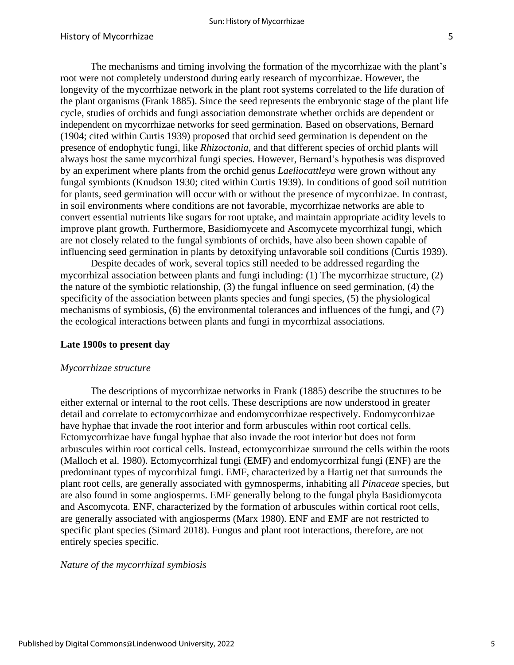The mechanisms and timing involving the formation of the mycorrhizae with the plant's root were not completely understood during early research of mycorrhizae. However, the longevity of the mycorrhizae network in the plant root systems correlated to the life duration of the plant organisms (Frank 1885). Since the seed represents the embryonic stage of the plant life cycle, studies of orchids and fungi association demonstrate whether orchids are dependent or independent on mycorrhizae networks for seed germination. Based on observations, Bernard (1904; cited within Curtis 1939) proposed that orchid seed germination is dependent on the presence of endophytic fungi, like *Rhizoctonia*, and that different species of orchid plants will always host the same mycorrhizal fungi species. However, Bernard's hypothesis was disproved by an experiment where plants from the orchid genus *Laeliocattleya* were grown without any fungal symbionts (Knudson 1930; cited within Curtis 1939). In conditions of good soil nutrition for plants, seed germination will occur with or without the presence of mycorrhizae. In contrast, in soil environments where conditions are not favorable, mycorrhizae networks are able to convert essential nutrients like sugars for root uptake, and maintain appropriate acidity levels to improve plant growth. Furthermore, Basidiomycete and Ascomycete mycorrhizal fungi, which are not closely related to the fungal symbionts of orchids, have also been shown capable of influencing seed germination in plants by detoxifying unfavorable soil conditions (Curtis 1939).

Despite decades of work, several topics still needed to be addressed regarding the mycorrhizal association between plants and fungi including: (1) The mycorrhizae structure, (2) the nature of the symbiotic relationship, (3) the fungal influence on seed germination, (4) the specificity of the association between plants species and fungi species, (5) the physiological mechanisms of symbiosis, (6) the environmental tolerances and influences of the fungi, and (7) the ecological interactions between plants and fungi in mycorrhizal associations.

#### **Late 1900s to present day**

#### *Mycorrhizae structure*

The descriptions of mycorrhizae networks in Frank (1885) describe the structures to be either external or internal to the root cells. These descriptions are now understood in greater detail and correlate to ectomycorrhizae and endomycorrhizae respectively. Endomycorrhizae have hyphae that invade the root interior and form arbuscules within root cortical cells. Ectomycorrhizae have fungal hyphae that also invade the root interior but does not form arbuscules within root cortical cells. Instead, ectomycorrhizae surround the cells within the roots (Malloch et al. 1980). Ectomycorrhizal fungi (EMF) and endomycorrhizal fungi (ENF) are the predominant types of mycorrhizal fungi. EMF, characterized by a Hartig net that surrounds the plant root cells, are generally associated with gymnosperms, inhabiting all *Pinaceae* species, but are also found in some angiosperms. EMF generally belong to the fungal phyla Basidiomycota and Ascomycota. ENF, characterized by the formation of arbuscules within cortical root cells, are generally associated with angiosperms (Marx 1980). ENF and EMF are not restricted to specific plant species (Simard 2018). Fungus and plant root interactions, therefore, are not entirely species specific.

#### *Nature of the mycorrhizal symbiosis*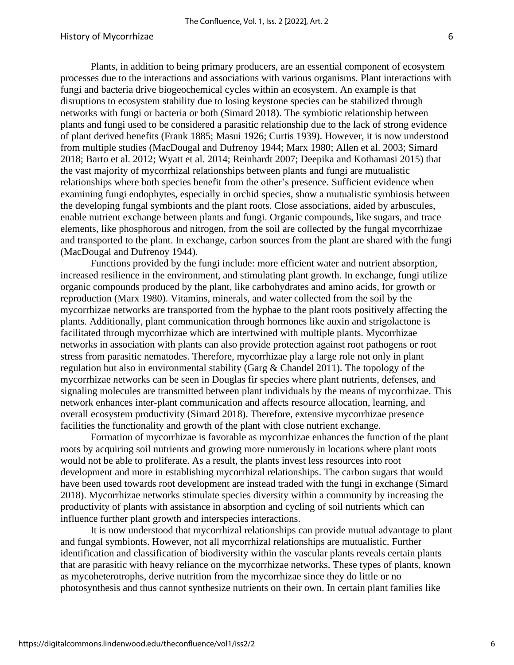Plants, in addition to being primary producers, are an essential component of ecosystem processes due to the interactions and associations with various organisms. Plant interactions with fungi and bacteria drive biogeochemical cycles within an ecosystem. An example is that disruptions to ecosystem stability due to losing keystone species can be stabilized through networks with fungi or bacteria or both (Simard 2018). The symbiotic relationship between plants and fungi used to be considered a parasitic relationship due to the lack of strong evidence of plant derived benefits (Frank 1885; Masui 1926; Curtis 1939). However, it is now understood from multiple studies (MacDougal and Dufrenoy 1944; Marx 1980; Allen et al. 2003; Simard 2018; Barto et al. 2012; Wyatt et al. 2014; Reinhardt 2007; Deepika and Kothamasi 2015) that the vast majority of mycorrhizal relationships between plants and fungi are mutualistic relationships where both species benefit from the other's presence. Sufficient evidence when examining fungi endophytes, especially in orchid species, show a mutualistic symbiosis between the developing fungal symbionts and the plant roots. Close associations, aided by arbuscules, enable nutrient exchange between plants and fungi. Organic compounds, like sugars, and trace elements, like phosphorous and nitrogen, from the soil are collected by the fungal mycorrhizae and transported to the plant. In exchange, carbon sources from the plant are shared with the fungi (MacDougal and Dufrenoy 1944).

Functions provided by the fungi include: more efficient water and nutrient absorption, increased resilience in the environment, and stimulating plant growth. In exchange, fungi utilize organic compounds produced by the plant, like carbohydrates and amino acids, for growth or reproduction (Marx 1980). Vitamins, minerals, and water collected from the soil by the mycorrhizae networks are transported from the hyphae to the plant roots positively affecting the plants. Additionally, plant communication through hormones like auxin and strigolactone is facilitated through mycorrhizae which are intertwined with multiple plants. Mycorrhizae networks in association with plants can also provide protection against root pathogens or root stress from parasitic nematodes. Therefore, mycorrhizae play a large role not only in plant regulation but also in environmental stability (Garg & Chandel 2011). The topology of the mycorrhizae networks can be seen in Douglas fir species where plant nutrients, defenses, and signaling molecules are transmitted between plant individuals by the means of mycorrhizae. This network enhances inter-plant communication and affects resource allocation, learning, and overall ecosystem productivity (Simard 2018). Therefore, extensive mycorrhizae presence facilities the functionality and growth of the plant with close nutrient exchange.

Formation of mycorrhizae is favorable as mycorrhizae enhances the function of the plant roots by acquiring soil nutrients and growing more numerously in locations where plant roots would not be able to proliferate. As a result, the plants invest less resources into root development and more in establishing mycorrhizal relationships. The carbon sugars that would have been used towards root development are instead traded with the fungi in exchange (Simard 2018). Mycorrhizae networks stimulate species diversity within a community by increasing the productivity of plants with assistance in absorption and cycling of soil nutrients which can influence further plant growth and interspecies interactions.

It is now understood that mycorrhizal relationships can provide mutual advantage to plant and fungal symbionts. However, not all mycorrhizal relationships are mutualistic. Further identification and classification of biodiversity within the vascular plants reveals certain plants that are parasitic with heavy reliance on the mycorrhizae networks. These types of plants, known as mycoheterotrophs, derive nutrition from the mycorrhizae since they do little or no photosynthesis and thus cannot synthesize nutrients on their own. In certain plant families like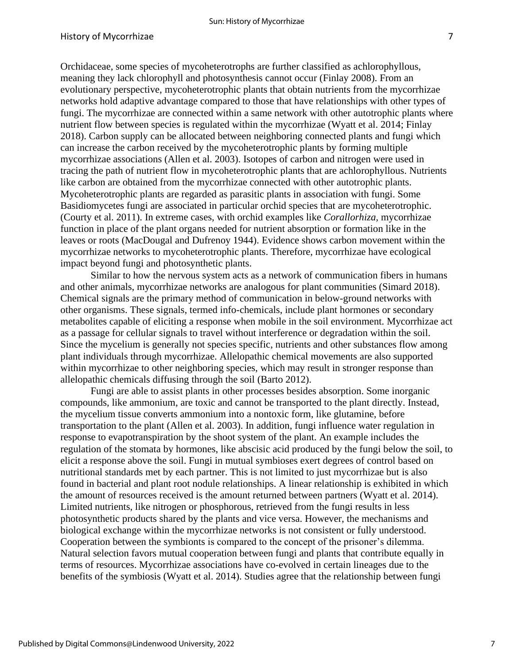Orchidaceae, some species of mycoheterotrophs are further classified as achlorophyllous, meaning they lack chlorophyll and photosynthesis cannot occur (Finlay 2008). From an evolutionary perspective, mycoheterotrophic plants that obtain nutrients from the mycorrhizae networks hold adaptive advantage compared to those that have relationships with other types of fungi. The mycorrhizae are connected within a same network with other autotrophic plants where nutrient flow between species is regulated within the mycorrhizae (Wyatt et al. 2014; Finlay 2018). Carbon supply can be allocated between neighboring connected plants and fungi which can increase the carbon received by the mycoheterotrophic plants by forming multiple mycorrhizae associations (Allen et al. 2003). Isotopes of carbon and nitrogen were used in tracing the path of nutrient flow in mycoheterotrophic plants that are achlorophyllous. Nutrients like carbon are obtained from the mycorrhizae connected with other autotrophic plants. Mycoheterotrophic plants are regarded as parasitic plants in association with fungi. Some Basidiomycetes fungi are associated in particular orchid species that are mycoheterotrophic. (Courty et al. 2011). In extreme cases, with orchid examples like *Corallorhiza,* mycorrhizae function in place of the plant organs needed for nutrient absorption or formation like in the leaves or roots (MacDougal and Dufrenoy 1944). Evidence shows carbon movement within the mycorrhizae networks to mycoheterotrophic plants. Therefore, mycorrhizae have ecological impact beyond fungi and photosynthetic plants.

Similar to how the nervous system acts as a network of communication fibers in humans and other animals, mycorrhizae networks are analogous for plant communities (Simard 2018). Chemical signals are the primary method of communication in below-ground networks with other organisms. These signals, termed info-chemicals, include plant hormones or secondary metabolites capable of eliciting a response when mobile in the soil environment. Mycorrhizae act as a passage for cellular signals to travel without interference or degradation within the soil. Since the mycelium is generally not species specific, nutrients and other substances flow among plant individuals through mycorrhizae. Allelopathic chemical movements are also supported within mycorrhizae to other neighboring species, which may result in stronger response than allelopathic chemicals diffusing through the soil (Barto 2012).

Fungi are able to assist plants in other processes besides absorption. Some inorganic compounds, like ammonium, are toxic and cannot be transported to the plant directly. Instead, the mycelium tissue converts ammonium into a nontoxic form, like glutamine, before transportation to the plant (Allen et al. 2003). In addition, fungi influence water regulation in response to evapotranspiration by the shoot system of the plant. An example includes the regulation of the stomata by hormones, like abscisic acid produced by the fungi below the soil, to elicit a response above the soil. Fungi in mutual symbioses exert degrees of control based on nutritional standards met by each partner. This is not limited to just mycorrhizae but is also found in bacterial and plant root nodule relationships. A linear relationship is exhibited in which the amount of resources received is the amount returned between partners (Wyatt et al. 2014). Limited nutrients, like nitrogen or phosphorous, retrieved from the fungi results in less photosynthetic products shared by the plants and vice versa. However, the mechanisms and biological exchange within the mycorrhizae networks is not consistent or fully understood. Cooperation between the symbionts is compared to the concept of the prisoner's dilemma. Natural selection favors mutual cooperation between fungi and plants that contribute equally in terms of resources. Mycorrhizae associations have co-evolved in certain lineages due to the benefits of the symbiosis (Wyatt et al. 2014). Studies agree that the relationship between fungi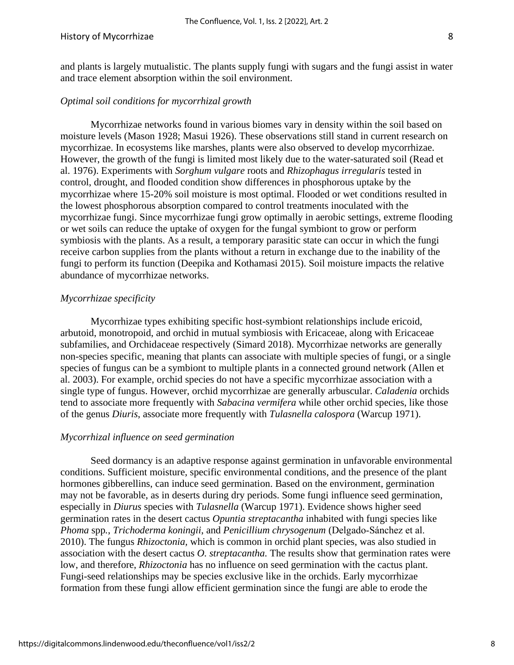#### History of Mycorrhizae 8

and plants is largely mutualistic. The plants supply fungi with sugars and the fungi assist in water and trace element absorption within the soil environment.

## *Optimal soil conditions for mycorrhizal growth*

Mycorrhizae networks found in various biomes vary in density within the soil based on moisture levels (Mason 1928; Masui 1926). These observations still stand in current research on mycorrhizae. In ecosystems like marshes, plants were also observed to develop mycorrhizae. However, the growth of the fungi is limited most likely due to the water-saturated soil (Read et al. 1976). Experiments with *Sorghum vulgare* roots and *Rhizophagus irregularis* tested in control, drought, and flooded condition show differences in phosphorous uptake by the mycorrhizae where 15-20% soil moisture is most optimal. Flooded or wet conditions resulted in the lowest phosphorous absorption compared to control treatments inoculated with the mycorrhizae fungi. Since mycorrhizae fungi grow optimally in aerobic settings, extreme flooding or wet soils can reduce the uptake of oxygen for the fungal symbiont to grow or perform symbiosis with the plants. As a result, a temporary parasitic state can occur in which the fungi receive carbon supplies from the plants without a return in exchange due to the inability of the fungi to perform its function (Deepika and Kothamasi 2015). Soil moisture impacts the relative abundance of mycorrhizae networks.

#### *Mycorrhizae specificity*

Mycorrhizae types exhibiting specific host-symbiont relationships include ericoid, arbutoid, monotropoid, and orchid in mutual symbiosis with Ericaceae, along with Ericaceae subfamilies, and Orchidaceae respectively (Simard 2018). Mycorrhizae networks are generally non-species specific, meaning that plants can associate with multiple species of fungi, or a single species of fungus can be a symbiont to multiple plants in a connected ground network (Allen et al. 2003). For example, orchid species do not have a specific mycorrhizae association with a single type of fungus. However, orchid mycorrhizae are generally arbuscular. *Caladenia* orchids tend to associate more frequently with *Sabacina vermifera* while other orchid species, like those of the genus *Diuris*, associate more frequently with *Tulasnella calospora* (Warcup 1971).

## *Mycorrhizal influence on seed germination*

Seed dormancy is an adaptive response against germination in unfavorable environmental conditions. Sufficient moisture, specific environmental conditions, and the presence of the plant hormones gibberellins, can induce seed germination. Based on the environment, germination may not be favorable, as in deserts during dry periods. Some fungi influence seed germination, especially in *Diurus* species with *Tulasnella* (Warcup 1971). Evidence shows higher seed germination rates in the desert cactus *Opuntia streptacantha* inhabited with fungi species like *Phoma* spp*.*, *Trichoderma koningii*, and *Penicillium chrysogenum* (Delgado‐Sánchez et al. 2010). The fungus *Rhizoctonia,* which is common in orchid plant species, was also studied in association with the desert cactus *O. streptacantha.* The results show that germination rates were low, and therefore, *Rhizoctonia* has no influence on seed germination with the cactus plant. Fungi-seed relationships may be species exclusive like in the orchids. Early mycorrhizae formation from these fungi allow efficient germination since the fungi are able to erode the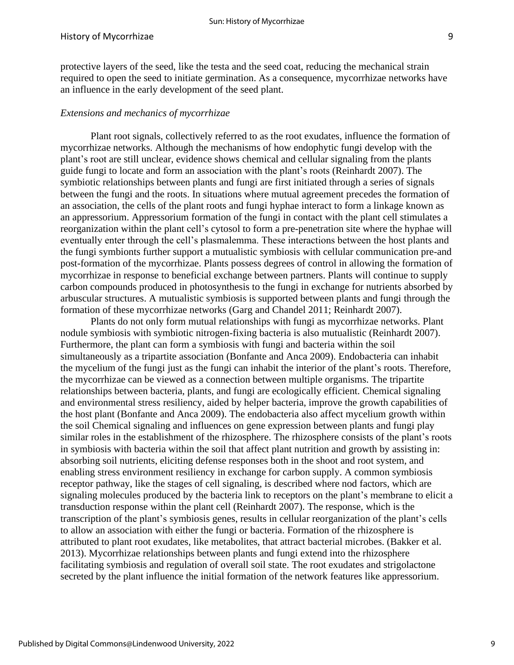#### History of Mycorrhizae 9

protective layers of the seed, like the testa and the seed coat, reducing the mechanical strain required to open the seed to initiate germination. As a consequence, mycorrhizae networks have an influence in the early development of the seed plant.

#### *Extensions and mechanics of mycorrhizae*

Plant root signals, collectively referred to as the root exudates, influence the formation of mycorrhizae networks. Although the mechanisms of how endophytic fungi develop with the plant's root are still unclear, evidence shows chemical and cellular signaling from the plants guide fungi to locate and form an association with the plant's roots (Reinhardt 2007). The symbiotic relationships between plants and fungi are first initiated through a series of signals between the fungi and the roots. In situations where mutual agreement precedes the formation of an association, the cells of the plant roots and fungi hyphae interact to form a linkage known as an appressorium. Appressorium formation of the fungi in contact with the plant cell stimulates a reorganization within the plant cell's cytosol to form a pre-penetration site where the hyphae will eventually enter through the cell's plasmalemma. These interactions between the host plants and the fungi symbionts further support a mutualistic symbiosis with cellular communication pre-and post-formation of the mycorrhizae. Plants possess degrees of control in allowing the formation of mycorrhizae in response to beneficial exchange between partners. Plants will continue to supply carbon compounds produced in photosynthesis to the fungi in exchange for nutrients absorbed by arbuscular structures. A mutualistic symbiosis is supported between plants and fungi through the formation of these mycorrhizae networks (Garg and Chandel 2011; Reinhardt 2007).

Plants do not only form mutual relationships with fungi as mycorrhizae networks. Plant nodule symbiosis with symbiotic nitrogen-fixing bacteria is also mutualistic (Reinhardt 2007). Furthermore, the plant can form a symbiosis with fungi and bacteria within the soil simultaneously as a tripartite association (Bonfante and Anca 2009). Endobacteria can inhabit the mycelium of the fungi just as the fungi can inhabit the interior of the plant's roots. Therefore, the mycorrhizae can be viewed as a connection between multiple organisms. The tripartite relationships between bacteria, plants, and fungi are ecologically efficient. Chemical signaling and environmental stress resiliency, aided by helper bacteria, improve the growth capabilities of the host plant (Bonfante and Anca 2009). The endobacteria also affect mycelium growth within the soil Chemical signaling and influences on gene expression between plants and fungi play similar roles in the establishment of the rhizosphere. The rhizosphere consists of the plant's roots in symbiosis with bacteria within the soil that affect plant nutrition and growth by assisting in: absorbing soil nutrients, eliciting defense responses both in the shoot and root system, and enabling stress environment resiliency in exchange for carbon supply. A common symbiosis receptor pathway, like the stages of cell signaling, is described where nod factors, which are signaling molecules produced by the bacteria link to receptors on the plant's membrane to elicit a transduction response within the plant cell (Reinhardt 2007). The response, which is the transcription of the plant's symbiosis genes, results in cellular reorganization of the plant's cells to allow an association with either the fungi or bacteria. Formation of the rhizosphere is attributed to plant root exudates, like metabolites, that attract bacterial microbes. (Bakker et al. 2013). Mycorrhizae relationships between plants and fungi extend into the rhizosphere facilitating symbiosis and regulation of overall soil state. The root exudates and strigolactone secreted by the plant influence the initial formation of the network features like appressorium.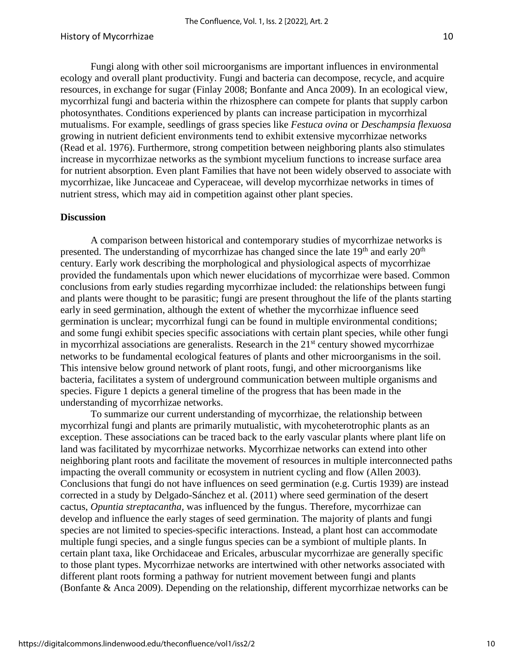Fungi along with other soil microorganisms are important influences in environmental ecology and overall plant productivity. Fungi and bacteria can decompose, recycle, and acquire resources, in exchange for sugar (Finlay 2008; Bonfante and Anca 2009). In an ecological view, mycorrhizal fungi and bacteria within the rhizosphere can compete for plants that supply carbon photosynthates. Conditions experienced by plants can increase participation in mycorrhizal mutualisms. For example, seedlings of grass species like *Festuca ovina* or *Deschampsia flexuosa* growing in nutrient deficient environments tend to exhibit extensive mycorrhizae networks (Read et al. 1976). Furthermore, strong competition between neighboring plants also stimulates increase in mycorrhizae networks as the symbiont mycelium functions to increase surface area for nutrient absorption. Even plant Families that have not been widely observed to associate with mycorrhizae, like Juncaceae and Cyperaceae, will develop mycorrhizae networks in times of nutrient stress, which may aid in competition against other plant species.

#### **Discussion**

A comparison between historical and contemporary studies of mycorrhizae networks is presented. The understanding of mycorrhizae has changed since the late  $19<sup>th</sup>$  and early  $20<sup>th</sup>$ century. Early work describing the morphological and physiological aspects of mycorrhizae provided the fundamentals upon which newer elucidations of mycorrhizae were based. Common conclusions from early studies regarding mycorrhizae included: the relationships between fungi and plants were thought to be parasitic; fungi are present throughout the life of the plants starting early in seed germination, although the extent of whether the mycorrhizae influence seed germination is unclear; mycorrhizal fungi can be found in multiple environmental conditions; and some fungi exhibit species specific associations with certain plant species, while other fungi in mycorrhizal associations are generalists. Research in the  $21<sup>st</sup>$  century showed mycorrhizae networks to be fundamental ecological features of plants and other microorganisms in the soil. This intensive below ground network of plant roots, fungi, and other microorganisms like bacteria, facilitates a system of underground communication between multiple organisms and species. Figure 1 depicts a general timeline of the progress that has been made in the understanding of mycorrhizae networks.

To summarize our current understanding of mycorrhizae, the relationship between mycorrhizal fungi and plants are primarily mutualistic, with mycoheterotrophic plants as an exception. These associations can be traced back to the early vascular plants where plant life on land was facilitated by mycorrhizae networks. Mycorrhizae networks can extend into other neighboring plant roots and facilitate the movement of resources in multiple interconnected paths impacting the overall community or ecosystem in nutrient cycling and flow (Allen 2003). Conclusions that fungi do not have influences on seed germination (e.g. Curtis 1939) are instead corrected in a study by Delgado-Sánchez et al. (2011) where seed germination of the desert cactus, *Opuntia streptacantha,* was influenced by the fungus. Therefore, mycorrhizae can develop and influence the early stages of seed germination. The majority of plants and fungi species are not limited to species-specific interactions. Instead, a plant host can accommodate multiple fungi species, and a single fungus species can be a symbiont of multiple plants. In certain plant taxa, like Orchidaceae and Ericales, arbuscular mycorrhizae are generally specific to those plant types. Mycorrhizae networks are intertwined with other networks associated with different plant roots forming a pathway for nutrient movement between fungi and plants (Bonfante & Anca 2009). Depending on the relationship, different mycorrhizae networks can be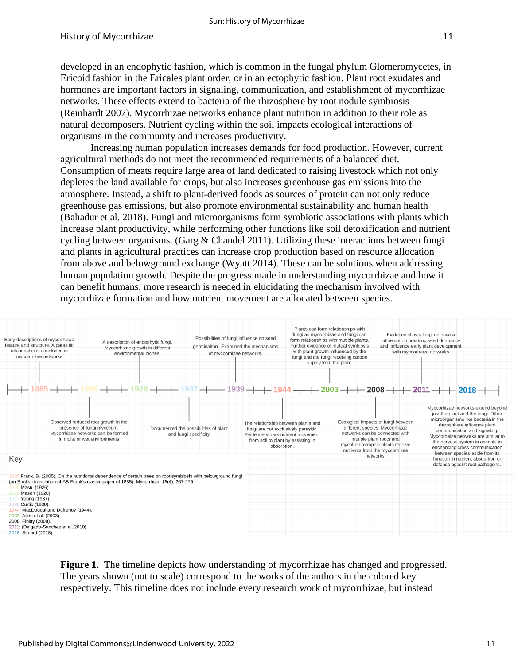developed in an endophytic fashion, which is common in the fungal phylum Glomeromycetes, in Ericoid fashion in the Ericales plant order, or in an ectophytic fashion. Plant root exudates and hormones are important factors in signaling, communication, and establishment of mycorrhizae networks. These effects extend to bacteria of the rhizosphere by root nodule symbiosis (Reinhardt 2007). Mycorrhizae networks enhance plant nutrition in addition to their role as natural decomposers. Nutrient cycling within the soil impacts ecological interactions of organisms in the community and increases productivity.

Increasing human population increases demands for food production. However, current agricultural methods do not meet the recommended requirements of a balanced diet. Consumption of meats require large area of land dedicated to raising livestock which not only depletes the land available for crops, but also increases greenhouse gas emissions into the atmosphere. Instead, a shift to plant-derived foods as sources of protein can not only reduce greenhouse gas emissions, but also promote environmental sustainability and human health (Bahadur et al. 2018). Fungi and microorganisms form symbiotic associations with plants which increase plant productivity, while performing other functions like soil detoxification and nutrient cycling between organisms. (Garg  $\&$  Chandel 2011). Utilizing these interactions between fungi and plants in agricultural practices can increase crop production based on resource allocation from above and belowground exchange (Wyatt 2014). These can be solutions when addressing human population growth. Despite the progress made in understanding mycorrhizae and how it can benefit humans, more research is needed in elucidating the mechanism involved with mycorrhizae formation and how nutrient movement are allocated between species.



**Figure 1.** The timeline depicts how understanding of mycorrhizae has changed and progressed. The years shown (not to scale) correspond to the works of the authors in the colored key respectively. This timeline does not include every research work of mycorrhizae, but instead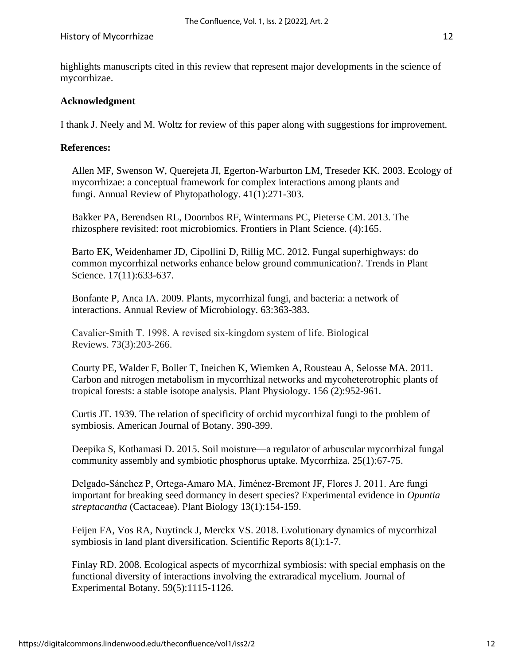highlights manuscripts cited in this review that represent major developments in the science of mycorrhizae.

## **Acknowledgment**

I thank J. Neely and M. Woltz for review of this paper along with suggestions for improvement.

## **References:**

Allen MF, Swenson W, Querejeta JI, Egerton-Warburton LM, Treseder KK. 2003. Ecology of mycorrhizae: a conceptual framework for complex interactions among plants and fungi. Annual Review of Phytopathology. 41(1):271-303.

Bakker PA, Berendsen RL, Doornbos RF, Wintermans PC, Pieterse CM. 2013. The rhizosphere revisited: root microbiomics. Frontiers in Plant Science. (4):165.

Barto EK, Weidenhamer JD, Cipollini D, Rillig MC. 2012. Fungal superhighways: do common mycorrhizal networks enhance below ground communication?. Trends in Plant Science. 17(11):633-637.

Bonfante P, Anca IA. 2009. Plants, mycorrhizal fungi, and bacteria: a network of interactions. Annual Review of Microbiology. 63:363-383.

Cavalier‐Smith T. 1998. A revised six‐kingdom system of life. Biological Reviews. 73(3):203-266.

Courty PE, Walder F, Boller T, Ineichen K, Wiemken A, Rousteau A, Selosse MA. 2011. Carbon and nitrogen metabolism in mycorrhizal networks and mycoheterotrophic plants of tropical forests: a stable isotope analysis. Plant Physiology. 156 (2):952-961.

Curtis JT. 1939. The relation of specificity of orchid mycorrhizal fungi to the problem of symbiosis. American Journal of Botany. 390-399.

Deepika S, Kothamasi D. 2015. Soil moisture—a regulator of arbuscular mycorrhizal fungal community assembly and symbiotic phosphorus uptake. Mycorrhiza. 25(1):67-75.

Delgado‐Sánchez P, Ortega‐Amaro MA, Jiménez‐Bremont JF, Flores J. 2011. Are fungi important for breaking seed dormancy in desert species? Experimental evidence in *Opuntia streptacantha* (Cactaceae). Plant Biology 13(1):154-159.

Feijen FA, Vos RA, Nuytinck J, Merckx VS. 2018. Evolutionary dynamics of mycorrhizal symbiosis in land plant diversification. Scientific Reports 8(1):1-7.

Finlay RD. 2008. Ecological aspects of mycorrhizal symbiosis: with special emphasis on the functional diversity of interactions involving the extraradical mycelium. Journal of Experimental Botany. 59(5):1115-1126.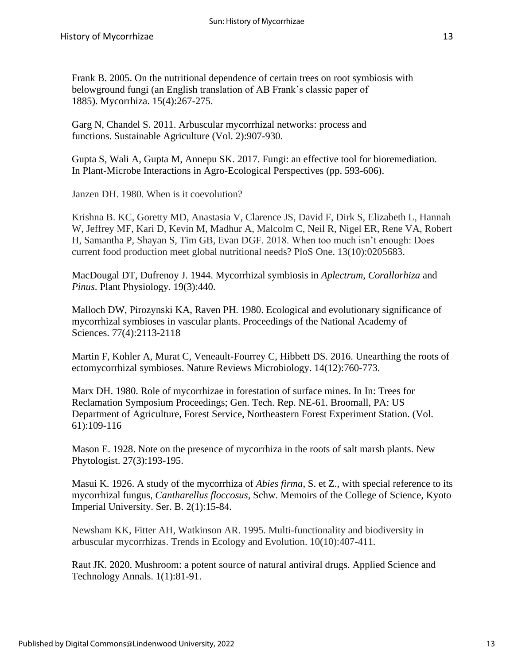Frank B. 2005. On the nutritional dependence of certain trees on root symbiosis with belowground fungi (an English translation of AB Frank's classic paper of 1885). Mycorrhiza. 15(4):267-275.

Garg N, Chandel S. 2011. Arbuscular mycorrhizal networks: process and functions. Sustainable Agriculture (Vol. 2):907-930.

Gupta S, Wali A, Gupta M, Annepu SK. 2017. Fungi: an effective tool for bioremediation. In Plant-Microbe Interactions in Agro-Ecological Perspectives (pp. 593-606).

Janzen DH. 1980. When is it coevolution?

Krishna B. KC, Goretty MD, Anastasia V, Clarence JS, David F, Dirk S, Elizabeth L, Hannah W, Jeffrey MF, Kari D, Kevin M, Madhur A, Malcolm C, Neil R, Nigel ER, Rene VA, Robert H, Samantha P, Shayan S, Tim GB, Evan DGF. 2018. When too much isn't enough: Does current food production meet global nutritional needs? PloS One. 13(10):0205683.

MacDougal DT, Dufrenoy J. 1944. Mycorrhizal symbiosis in *Aplectrum*, *Corallorhiza* and *Pinus*. Plant Physiology. 19(3):440.

Malloch DW, Pirozynski KA, Raven PH. 1980. Ecological and evolutionary significance of mycorrhizal symbioses in vascular plants. Proceedings of the National Academy of Sciences. 77(4):2113-2118

Martin F, Kohler A, Murat C, Veneault-Fourrey C, Hibbett DS. 2016. Unearthing the roots of ectomycorrhizal symbioses. Nature Reviews Microbiology. 14(12):760-773.

Marx DH. 1980. Role of mycorrhizae in forestation of surface mines. In In: Trees for Reclamation Symposium Proceedings; Gen. Tech. Rep. NE-61. Broomall, PA: US Department of Agriculture, Forest Service, Northeastern Forest Experiment Station. (Vol. 61):109-116

Mason E. 1928. Note on the presence of mycorrhiza in the roots of salt marsh plants. New Phytologist. 27(3):193-195.

Masui K. 1926. A study of the mycorrhiza of *Abies firma*, S. et Z., with special reference to its mycorrhizal fungus, *Cantharellus floccosus*, Schw. Memoirs of the College of Science, Kyoto Imperial University. Ser. B. 2(1):15-84.

Newsham KK, Fitter AH, Watkinson AR. 1995. Multi-functionality and biodiversity in arbuscular mycorrhizas. Trends in Ecology and Evolution. 10(10):407-411.

Raut JK. 2020. Mushroom: a potent source of natural antiviral drugs. Applied Science and Technology Annals. 1(1):81-91.